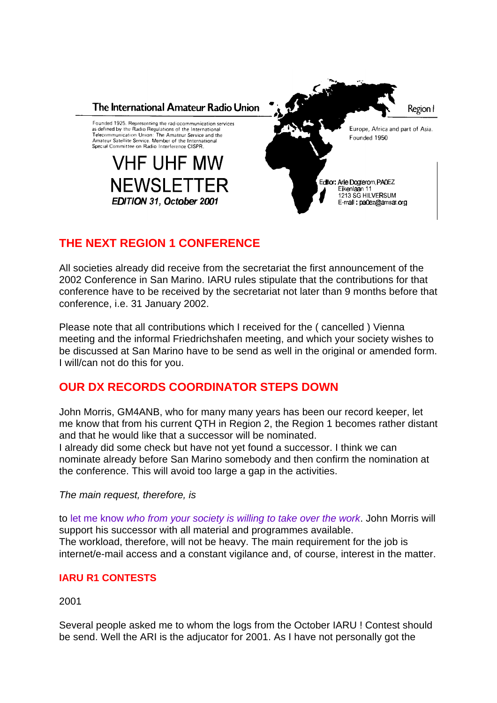

# **THE NEXT REGION 1 CONFERENCE**

All societies already did receive from the secretariat the first announcement of the 2002 Conference in San Marino. IARU rules stipulate that the contributions for that conference have to be received by the secretariat not later than 9 months before that conference, i.e. 31 January 2002.

Please note that all contributions which I received for the ( cancelled ) Vienna meeting and the informal Friedrichshafen meeting, and which your society wishes to be discussed at San Marino have to be send as well in the original or amended form. I will/can not do this for you.

## **OUR DX RECORDS COORDINATOR STEPS DOWN**

John Morris, GM4ANB, who for many many years has been our record keeper, let me know that from his current QTH in Region 2, the Region 1 becomes rather distant and that he would like that a successor will be nominated.

I already did some check but have not yet found a successor. I think we can nominate already before San Marino somebody and then confirm the nomination at the conference. This will avoid too large a gap in the activities.

*The main request, therefore, is*

to let me know *who from your society is willing to take over the work*. John Morris will support his successor with all material and programmes available. The workload, therefore, will not be heavy. The main requirement for the job is internet/e-mail access and a constant vigilance and, of course, interest in the matter.

## **IARU R1 CONTESTS**

2001

Several people asked me to whom the logs from the October IARU ! Contest should be send. Well the ARI is the adjucator for 2001. As I have not personally got the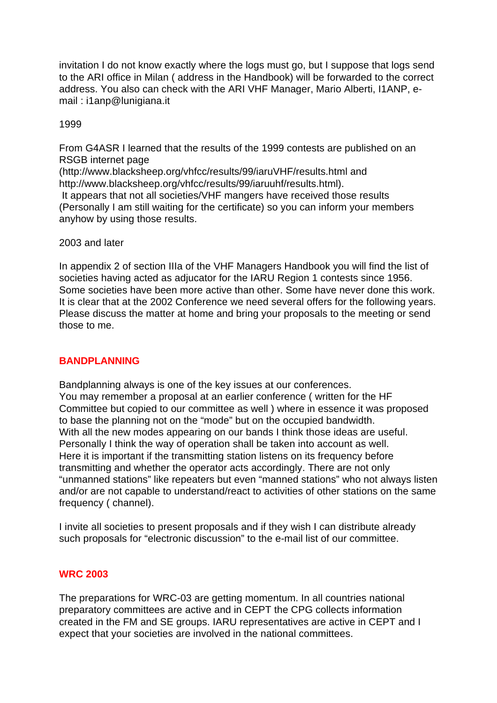invitation I do not know exactly where the logs must go, but I suppose that logs send to the ARI office in Milan ( address in the Handbook) will be forwarded to the correct address. You also can check with the ARI VHF Manager, Mario Alberti, I1ANP, email : i1anp@lunigiana.it

#### 1999

From G4ASR I learned that the results of the 1999 contests are published on an RSGB internet page

(http://www.blacksheep.org/vhfcc/results/99/iaruVHF/results.html and http://www.blacksheep.org/vhfcc/results/99/iaruuhf/results.html).

 It appears that not all societies/VHF mangers have received those results (Personally I am still waiting for the certificate) so you can inform your members anyhow by using those results.

#### 2003 and later

In appendix 2 of section IIIa of the VHF Managers Handbook you will find the list of societies having acted as adjucator for the IARU Region 1 contests since 1956. Some societies have been more active than other. Some have never done this work. It is clear that at the 2002 Conference we need several offers for the following years. Please discuss the matter at home and bring your proposals to the meeting or send those to me.

#### **BANDPLANNING**

Bandplanning always is one of the key issues at our conferences. You may remember a proposal at an earlier conference ( written for the HF Committee but copied to our committee as well ) where in essence it was proposed to base the planning not on the "mode" but on the occupied bandwidth. With all the new modes appearing on our bands I think those ideas are useful. Personally I think the way of operation shall be taken into account as well. Here it is important if the transmitting station listens on its frequency before transmitting and whether the operator acts accordingly. There are not only "unmanned stations" like repeaters but even "manned stations" who not always listen and/or are not capable to understand/react to activities of other stations on the same frequency ( channel).

I invite all societies to present proposals and if they wish I can distribute already such proposals for "electronic discussion" to the e-mail list of our committee.

#### **WRC 2003**

The preparations for WRC-03 are getting momentum. In all countries national preparatory committees are active and in CEPT the CPG collects information created in the FM and SE groups. IARU representatives are active in CEPT and I expect that your societies are involved in the national committees.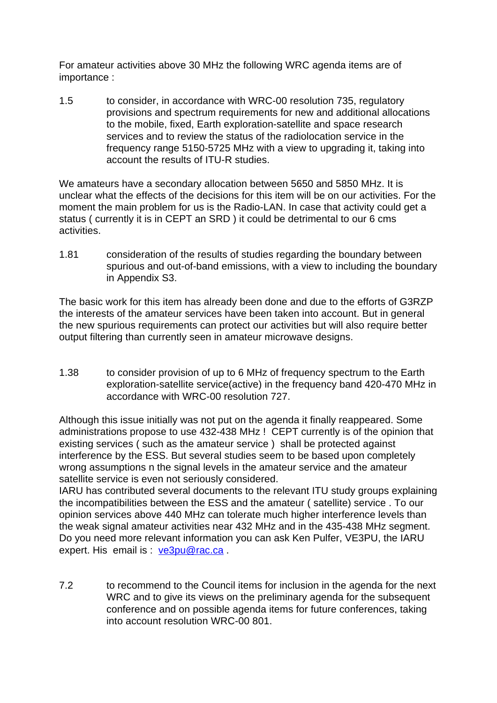For amateur activities above 30 MHz the following WRC agenda items are of importance :

1.5 to consider, in accordance with WRC-00 resolution 735, regulatory provisions and spectrum requirements for new and additional allocations to the mobile, fixed, Earth exploration-satellite and space research services and to review the status of the radiolocation service in the frequency range 5150-5725 MHz with a view to upgrading it, taking into account the results of ITU-R studies.

We amateurs have a secondary allocation between 5650 and 5850 MHz. It is unclear what the effects of the decisions for this item will be on our activities. For the moment the main problem for us is the Radio-LAN. In case that activity could get a status ( currently it is in CEPT an SRD ) it could be detrimental to our 6 cms activities.

1.81 consideration of the results of studies regarding the boundary between spurious and out-of-band emissions, with a view to including the boundary in Appendix S3.

The basic work for this item has already been done and due to the efforts of G3RZP the interests of the amateur services have been taken into account. But in general the new spurious requirements can protect our activities but will also require better output filtering than currently seen in amateur microwave designs.

1.38 to consider provision of up to 6 MHz of frequency spectrum to the Earth exploration-satellite service(active) in the frequency band 420-470 MHz in accordance with WRC-00 resolution 727.

Although this issue initially was not put on the agenda it finally reappeared. Some administrations propose to use 432-438 MHz ! CEPT currently is of the opinion that existing services ( such as the amateur service ) shall be protected against interference by the ESS. But several studies seem to be based upon completely wrong assumptions n the signal levels in the amateur service and the amateur satellite service is even not seriously considered.

IARU has contributed several documents to the relevant ITU study groups explaining the incompatibilities between the ESS and the amateur ( satellite) service . To our opinion services above 440 MHz can tolerate much higher interference levels than the weak signal amateur activities near 432 MHz and in the 435-438 MHz segment. Do you need more relevant information you can ask Ken Pulfer, VE3PU, the IARU expert. His email is : ve3pu@rac.ca.

7.2 to recommend to the Council items for inclusion in the agenda for the next WRC and to give its views on the preliminary agenda for the subsequent conference and on possible agenda items for future conferences, taking into account resolution WRC-00 801.